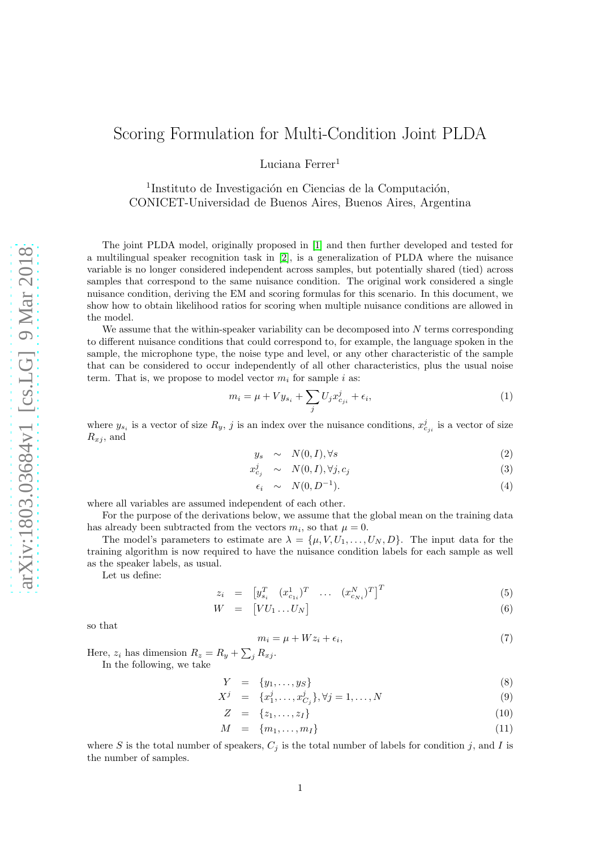Luciana Ferrer<sup>1</sup>

<sup>1</sup>Instituto de Investigación en Ciencias de la Computación, CONICET-Universidad de Buenos Aires, Buenos Aires, Argentina

The joint PLDA model, originally proposed in [\[1\]](#page-4-0) and then further developed and tested for a multilingual speaker recognition task in [\[2\]](#page-4-1), is a generalization of PLDA where the nuisance variable is no longer considered independent across samples, but potentially shared (tied) across samples that correspond to the same nuisance condition. The original work considered a single nuisance condition, deriving the EM and scoring formulas for this scenario. In this document, we show how to obtain likelihood ratios for scoring when multiple nuisance conditions are allowed in the model.

We assume that the within-speaker variability can be decomposed into  $N$  terms corresponding to different nuisance conditions that could correspond to, for example, the language spoken in the sample, the microphone type, the noise type and level, or any other characteristic of the sample that can be considered to occur independently of all other characteristics, plus the usual noise term. That is, we propose to model vector  $m_i$  for sample i as:

$$
m_i = \mu + V y_{s_i} + \sum_j U_j x_{c_{ji}}^j + \epsilon_i,
$$
\n<sup>(1)</sup>

where  $y_{s_i}$  is a vector of size  $R_y$ , j is an index over the nuisance conditions,  $x_{c_{ji}}^j$  is a vector of size  $R_{x,i}$ , and

$$
y_s \sim N(0, I), \forall s \tag{2}
$$

$$
x_{c_j}^j \sim N(0, I), \forall j, c_j \tag{3}
$$

$$
\epsilon_i \sim N(0, D^{-1}). \tag{4}
$$

where all variables are assumed independent of each other.

For the purpose of the derivations below, we assume that the global mean on the training data has already been subtracted from the vectors  $m_i$ , so that  $\mu = 0$ .

The model's parameters to estimate are  $\lambda = {\mu, V, U_1, \ldots, U_N, D}$ . The input data for the training algorithm is now required to have the nuisance condition labels for each sample as well as the speaker labels, as usual.

Let us define:

$$
z_i = \begin{bmatrix} y_{s_i}^T & (x_{c_{1i}}^1)^T & \dots & (x_{c_{Ni}}^N)^T \end{bmatrix}^T
$$
 (5)

$$
W = [VU_1 \dots U_N] \tag{6}
$$

so that

$$
m_i = \mu + Wz_i + \epsilon_i,\tag{7}
$$

Here,  $z_i$  has dimension  $R_z = R_y + \sum_j R_{xj}$ . In the following, we take

$$
Y = \{y_1, \ldots, y_S\} \tag{8}
$$

$$
X^{j} = \{x_{1}^{j}, \dots, x_{C_{j}}^{j}\}, \forall j = 1, \dots, N
$$
\n(9)

$$
Z = \{z_1, \ldots, z_I\} \tag{10}
$$

$$
M = \{m_1, \ldots, m_I\} \tag{11}
$$

where S is the total number of speakers,  $C_j$  is the total number of labels for condition j, and I is the number of samples.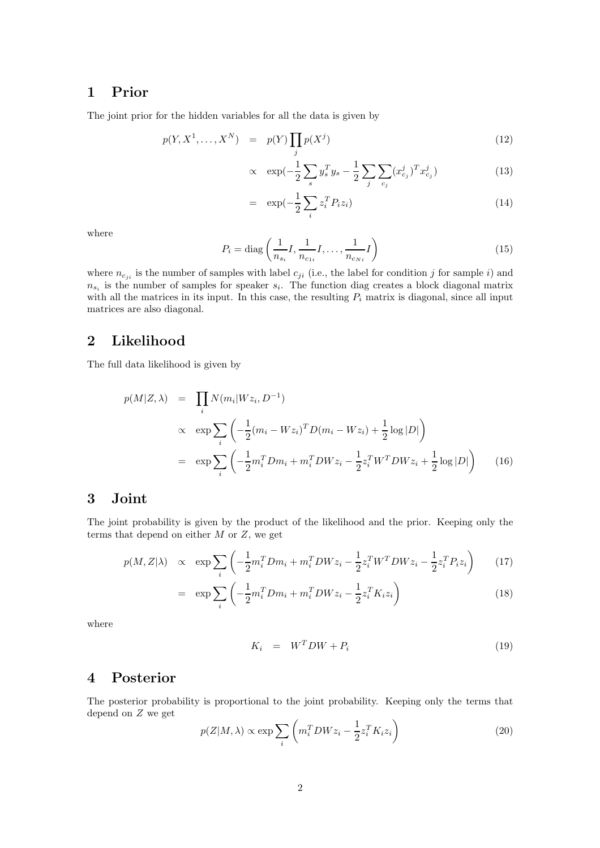### 1 Prior

The joint prior for the hidden variables for all the data is given by

$$
p(Y, X^1, \dots, X^N) = p(Y) \prod_j p(X^j)
$$
\n<sup>(12)</sup>

$$
\propto \exp(-\frac{1}{2}\sum_{s} y_{s}^{T} y_{s} - \frac{1}{2}\sum_{j} \sum_{c_{j}} (x_{c_{j}}^{j})^{T} x_{c_{j}}^{j})
$$
(13)

$$
= \exp\left(-\frac{1}{2}\sum_{i} z_i^T P_i z_i\right) \tag{14}
$$

where

$$
P_i = \text{diag}\left(\frac{1}{n_{s_i}}I, \frac{1}{n_{c_{1i}}}I, \dots, \frac{1}{n_{c_{Ni}}}I\right)
$$
\n(15)

where  $n_{cji}$  is the number of samples with label  $c_{ji}$  (i.e., the label for condition j for sample i) and  $n_{s_i}$  is the number of samples for speaker  $s_i$ . The function diag creates a block diagonal matrix with all the matrices in its input. In this case, the resulting  $P_i$  matrix is diagonal, since all input matrices are also diagonal.

### 2 Likelihood

The full data likelihood is given by

<span id="page-1-0"></span>
$$
p(M|Z,\lambda) = \prod_{i} N(m_i|Wz_i, D^{-1})
$$
  
\n
$$
\propto \exp \sum_{i} \left( -\frac{1}{2} (m_i - Wz_i)^T D(m_i - Wz_i) + \frac{1}{2} \log |D| \right)
$$
  
\n
$$
= \exp \sum_{i} \left( -\frac{1}{2} m_i^T Dm_i + m_i^T D W z_i - \frac{1}{2} z_i^T W^T D W z_i + \frac{1}{2} \log |D| \right) \tag{16}
$$

## 3 Joint

The joint probability is given by the product of the likelihood and the prior. Keeping only the terms that depend on either  $M$  or  $Z$ , we get

$$
p(M, Z|\lambda) \propto \exp \sum_{i} \left( -\frac{1}{2} m_i^T D m_i + m_i^T D W z_i - \frac{1}{2} z_i^T W^T D W z_i - \frac{1}{2} z_i^T P_i z_i \right) \tag{17}
$$

$$
= \exp \sum_{i} \left( -\frac{1}{2} m_i^T D m_i + m_i^T D W z_i - \frac{1}{2} z_i^T K_i z_i \right) \tag{18}
$$

where

$$
K_i = W^T D W + P_i \tag{19}
$$

## 4 Posterior

The posterior probability is proportional to the joint probability. Keeping only the terms that depend on Z we get

$$
p(Z|M,\lambda) \propto \exp \sum_{i} \left( m_i^T D W z_i - \frac{1}{2} z_i^T K_i z_i \right) \tag{20}
$$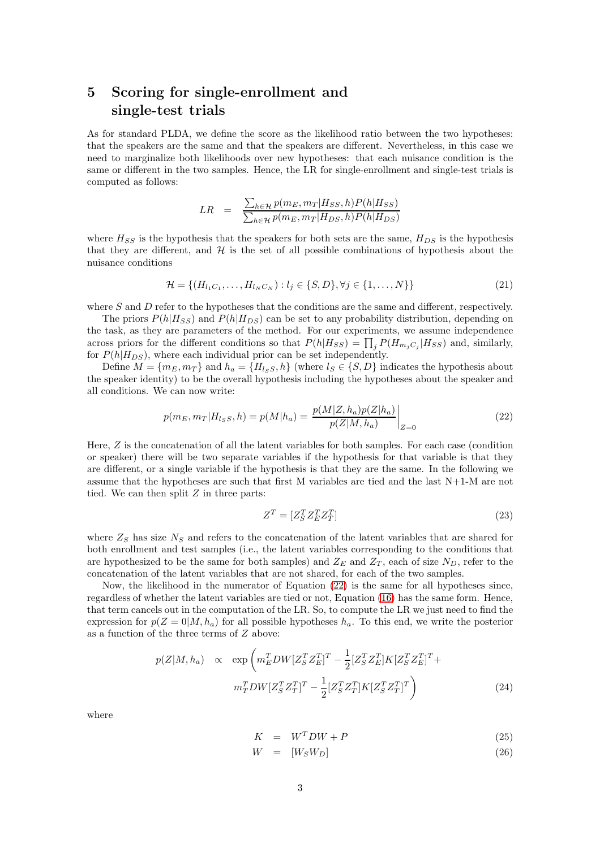# 5 Scoring for single-enrollment and single-test trials

As for standard PLDA, we define the score as the likelihood ratio between the two hypotheses: that the speakers are the same and that the speakers are different. Nevertheless, in this case we need to marginalize both likelihoods over new hypotheses: that each nuisance condition is the same or different in the two samples. Hence, the LR for single-enrollment and single-test trials is computed as follows:

$$
LR = \frac{\sum_{h \in \mathcal{H}} p(m_E, m_T | H_{SS}, h) P(h | H_{SS})}{\sum_{h \in \mathcal{H}} p(m_E, m_T | H_{DS}, h) P(h | H_{DS})}
$$

where  $H_{SS}$  is the hypothesis that the speakers for both sets are the same,  $H_{DS}$  is the hypothesis that they are different, and  $H$  is the set of all possible combinations of hypothesis about the nuisance conditions

$$
\mathcal{H} = \{ (H_{l_1C_1}, \dots, H_{l_NC_N}) : l_j \in \{S, D\}, \forall j \in \{1, \dots, N\} \}
$$
\n(21)

where  $S$  and  $D$  refer to the hypotheses that the conditions are the same and different, respectively.

The priors  $P(h|H_{SS})$  and  $P(h|H_{DS})$  can be set to any probability distribution, depending on the task, as they are parameters of the method. For our experiments, we assume independence across priors for the different conditions so that  $P(h|H_{SS}) = \prod_j P(H_{m_jC_j}|H_{SS})$  and, similarly, for  $P(h|H_{DS})$ , where each individual prior can be set independently.

Define  $M = \{m_E, m_T\}$  and  $h_a = \{H_{l,SS}, h\}$  (where  $l_S \in \{S, D\}$  indicates the hypothesis about the speaker identity) to be the overall hypothesis including the hypotheses about the speaker and all conditions. We can now write:

<span id="page-2-0"></span>
$$
p(m_E, m_T | H_{l,SS}, h) = p(M | h_a) = \frac{p(M | Z, h_a) p(Z | h_a)}{p(Z | M, h_a)} \bigg|_{Z=0}
$$
\n(22)

Here,  $Z$  is the concatenation of all the latent variables for both samples. For each case (condition or speaker) there will be two separate variables if the hypothesis for that variable is that they are different, or a single variable if the hypothesis is that they are the same. In the following we assume that the hypotheses are such that first M variables are tied and the last N+1-M are not tied. We can then split  $Z$  in three parts:

$$
Z^T = [Z_S^T Z_E^T Z_T^T] \tag{23}
$$

where  $Z_S$  has size  $N_S$  and refers to the concatenation of the latent variables that are shared for both enrollment and test samples (i.e., the latent variables corresponding to the conditions that are hypothesized to be the same for both samples) and  $Z_E$  and  $Z_T$ , each of size  $N_D$ , refer to the concatenation of the latent variables that are not shared, for each of the two samples.

Now, the likelihood in the numerator of Equation [\(22\)](#page-2-0) is the same for all hypotheses since, regardless of whether the latent variables are tied or not, Equation [\(16\)](#page-1-0) has the same form. Hence, that term cancels out in the computation of the LR. So, to compute the LR we just need to find the expression for  $p(Z = 0|M, h_a)$  for all possible hypotheses  $h_a$ . To this end, we write the posterior as a function of the three terms of Z above:

$$
p(Z|M, h_a) \propto \exp\left(m_E^T DW[Z_S^T Z_E^T]^T - \frac{1}{2} [Z_S^T Z_E^T] K [Z_S^T Z_E^T]^T + m_T^T DW[Z_S^T Z_T^T]^T - \frac{1}{2} [Z_S^T Z_T^T] K [Z_S^T Z_T^T]^T\right)
$$
\n(24)

where

$$
K = W^T D W + P \tag{25}
$$

$$
W = [W_S W_D] \tag{26}
$$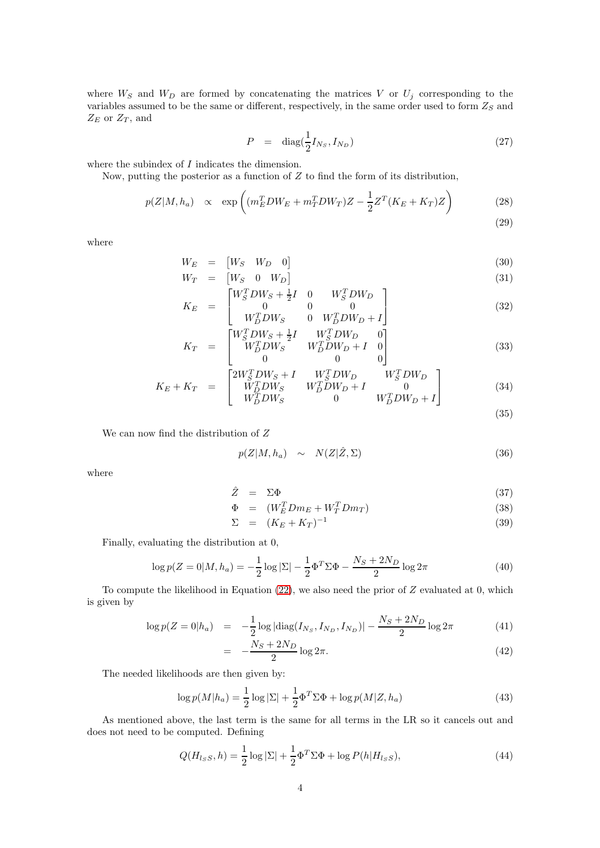where  $W_S$  and  $W_D$  are formed by concatenating the matrices V or  $U_j$  corresponding to the variables assumed to be the same or different, respectively, in the same order used to form  $Z_S$  and  $Z_E$  or  $Z_T$ , and

$$
P = \text{diag}(\frac{1}{2}I_{N_S}, I_{N_D})
$$
\n
$$
(27)
$$

where the subindex of I indicates the dimension.

Now, putting the posterior as a function of  $Z$  to find the form of its distribution,

$$
p(Z|M, h_a) \propto \exp\left((m_E^T D W_E + m_T^T D W_T)Z - \frac{1}{2}Z^T (K_E + K_T)Z\right)
$$
 (28)

(29)

where

$$
W_E = [W_S \quad W_D \quad 0]
$$
\n
$$
W_T = [W_S \quad 0 \quad W_D]
$$
\n(30)\n(31)

$$
K_E = \begin{bmatrix} W_S^T D W_S + \frac{1}{2} I & 0 & W_S^T D W_D \\ 0 & 0 & 0 \\ W_S^T D W_S & 0 & W_S^T D W_D \\ W_S^T D W_S & 0 & W_S^T D W_S + I \end{bmatrix} \tag{32}
$$

$$
K_{F} = \begin{bmatrix} W_{D}^{T} DW_{S} & 0 & W_{D}^{T} DW_{D} + I \end{bmatrix}
$$
  
\n
$$
K_{T} = \begin{bmatrix} W_{S}^{T} DW_{S} + \frac{1}{2}I & W_{S}^{T} DW_{D} & 0 \\ W_{D}^{T} DW_{S} & W_{D}^{T} DW_{D} + I & 0 \end{bmatrix}
$$
 (33)

$$
K_{T} = \begin{bmatrix} W_{D}^{T}DW_{S} & W_{D}^{T}DW_{D} + I & 0\\ 0 & 0 & 0 \end{bmatrix}
$$
(33)  
\n
$$
K_{E} + K_{T} = \begin{bmatrix} 2W_{S}^{T}DW_{S} + I & W_{S}^{T}DW_{D} & W_{S}^{T}DW_{D} \\ W_{D}^{T}DW_{S} & W_{D}^{T}DW_{D} + I & 0 \\ W_{D}^{T}DW_{S} & 0 & W_{D}^{T}DW_{D} + I \end{bmatrix}
$$
(34)

$$
(35)
$$

We can now find the distribution of  $\boldsymbol{Z}$ 

$$
p(Z|M, h_a) \sim N(Z|\hat{Z}, \Sigma) \tag{36}
$$

where

$$
\hat{Z} = \Sigma \Phi \tag{37}
$$

$$
\Phi = (W_E^T D m_E + W_T^T D m_T) \tag{38}
$$

$$
\Sigma = (K_E + K_T)^{-1} \tag{39}
$$

Finally, evaluating the distribution at 0,

$$
\log p(Z = 0|M, h_a) = -\frac{1}{2}\log|\Sigma| - \frac{1}{2}\Phi^T \Sigma \Phi - \frac{N_S + 2N_D}{2}\log 2\pi
$$
\n(40)

To compute the likelihood in Equation [\(22\)](#page-2-0), we also need the prior of Z evaluated at 0, which is given by

$$
\log p(Z = 0 | h_a) = -\frac{1}{2} \log |\text{diag}(I_{N_S}, I_{N_D}, I_{N_D})| - \frac{N_S + 2N_D}{2} \log 2\pi \tag{41}
$$

$$
= -\frac{N_S + 2N_D}{2} \log 2\pi.
$$
 (42)

The needed likelihoods are then given by:

= −

$$
\log p(M|h_a) = \frac{1}{2}\log|\Sigma| + \frac{1}{2}\Phi^T\Sigma\Phi + \log p(M|Z, h_a)
$$
\n(43)

As mentioned above, the last term is the same for all terms in the LR so it cancels out and does not need to be computed. Defining

$$
Q(H_{l_S S}, h) = \frac{1}{2} \log |\Sigma| + \frac{1}{2} \Phi^T \Sigma \Phi + \log P(h | H_{l_S S}), \tag{44}
$$